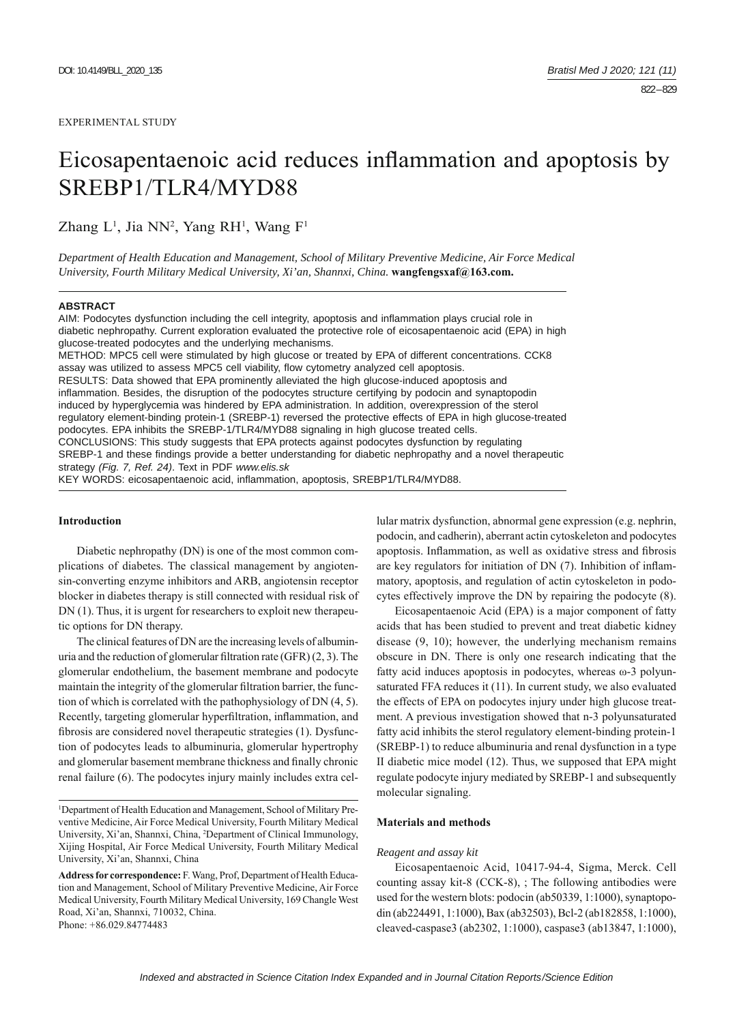# Eicosapentaenoic acid reduces inflammation and apoptosis by SREBP1/TLR4/MYD88

Zhang L<sup>1</sup>, Jia NN<sup>2</sup>, Yang RH<sup>1</sup>, Wang F<sup>1</sup>

*Department of Health Education and Management, School of Military Preventive Medicine, Air Force Medical University, Fourth Military Medical University, Xi'an, Shannxi, China.* **wangfengsxaf@163.com.**

#### **ABSTRACT**

AIM: Podocytes dysfunction including the cell integrity, apoptosis and inflammation plays crucial role in diabetic nephropathy. Current exploration evaluated the protective role of eicosapentaenoic acid (EPA) in high glucose-treated podocytes and the underlying mechanisms. METHOD: MPC5 cell were stimulated by high glucose or treated by EPA of different concentrations. CCK8 assay was utilized to assess MPC5 cell viability, flow cytometry analyzed cell apoptosis. RESULTS: Data showed that EPA prominently alleviated the high glucose-induced apoptosis and inflammation. Besides, the disruption of the podocytes structure certifying by podocin and synaptopodin induced by hyperglycemia was hindered by EPA administration. In addition, overexpression of the sterol regulatory element-binding protein-1 (SREBP-1) reversed the protective effects of EPA in high glucose-treated podocytes. EPA inhibits the SREBP-1/TLR4/MYD88 signaling in high glucose treated cells. CONCLUSIONS: This study suggests that EPA protects against podocytes dysfunction by regulating

SREBP-1 and these findings provide a better understanding for diabetic nephropathy and a novel therapeutic strategy *(Fig. 7, Ref. 24)*. Text in PDF *www.elis.sk*

KEY WORDS: eicosapentaenoic acid, inflammation, apoptosis, SREBP1/TLR4/MYD88.

#### **Introduction**

Diabetic nephropathy (DN) is one of the most common complications of diabetes. The classical management by angiotensin-converting enzyme inhibitors and ARB, angiotensin receptor blocker in diabetes therapy is still connected with residual risk of DN (1). Thus, it is urgent for researchers to exploit new therapeutic options for DN therapy.

The clinical features of DN are the increasing levels of albuminuria and the reduction of glomerular filtration rate  $(GFR)$  (2, 3). The glomerular endothelium, the basement membrane and podocyte maintain the integrity of the glomerular filtration barrier, the function of which is correlated with the pathophysiology of DN (4, 5). Recently, targeting glomerular hyperfiltration, inflammation, and fibrosis are considered novel therapeutic strategies (1). Dysfunction of podocytes leads to albuminuria, glomerular hypertrophy and glomerular basement membrane thickness and finally chronic renal failure (6). The podocytes injury mainly includes extra cel-

<sup>1</sup>Department of Health Education and Management, School of Military Preventive Medicine, Air Force Medical University, Fourth Military Medical University, Xi'an, Shannxi, China, 2 Department of Clinical Immunology, Xijing Hospital, Air Force Medical University, Fourth Military Medical University, Xi'an, Shannxi, China

lular matrix dysfunction, abnormal gene expression (e.g. nephrin, podocin, and cadherin), aberrant actin cytoskeleton and podocytes apoptosis. Inflammation, as well as oxidative stress and fibrosis are key regulators for initiation of  $DN(7)$ . Inhibition of inflammatory, apoptosis, and regulation of actin cytoskeleton in podocytes effectively improve the DN by repairing the podocyte (8).

 Eicosapentaenoic Acid (EPA) is a major component of fatty acids that has been studied to prevent and treat diabetic kidney disease (9, 10); however, the underlying mechanism remains obscure in DN. There is only one research indicating that the fatty acid induces apoptosis in podocytes, whereas ω-3 polyunsaturated FFA reduces it (11). In current study, we also evaluated the effects of EPA on podocytes injury under high glucose treatment. A previous investigation showed that n-3 polyunsaturated fatty acid inhibits the sterol regulatory element-binding protein-1 (SREBP-1) to reduce albuminuria and renal dysfunction in a type II diabetic mice model (12). Thus, we supposed that EPA might regulate podocyte injury mediated by SREBP-1 and subsequently molecular signaling.

#### **Materials and methods**

#### *Reagent and assay kit*

Eicosapentaenoic Acid, 10417-94-4, Sigma, Merck. Cell counting assay kit-8 (CCK-8), ; The following antibodies were used for the western blots: podocin (ab50339, 1:1000), synaptopodin (ab224491, 1:1000), Bax (ab32503), Bcl-2 (ab182858, 1:1000), cleaved-caspase3 (ab2302, 1:1000), caspase3 (ab13847, 1:1000),

**Address for correspondence:** F. Wang, Prof, Department of Health Education and Management, School of Military Preventive Medicine, Air Force Medical University, Fourth Military Medical University, 169 Changle West Road, Xi'an, Shannxi, 710032, China. Phone: +86.029.84774483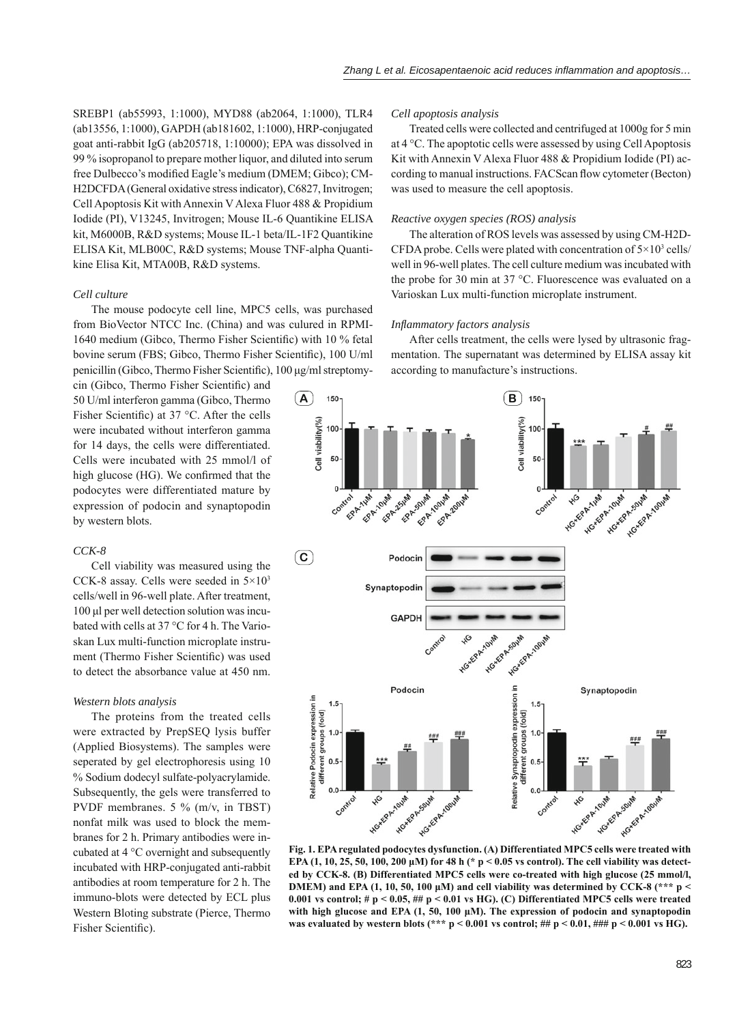SREBP1 (ab55993, 1:1000), MYD88 (ab2064, 1:1000), TLR4 (ab13556, 1:1000), GAPDH (ab181602, 1:1000), HRP-conjugated goat anti-rabbit IgG (ab205718, 1:10000); EPA was dissolved in 99 % isopropanol to prepare mother liquor, and diluted into serum free Dulbecco's modified Eagle's medium (DMEM; Gibco); CM-H2DCFDA (General oxidative stress indicator), C6827, Invitrogen; Cell Apoptosis Kit with Annexin V Alexa Fluor 488 & Propidium Iodide (PI), V13245, Invitrogen; Mouse IL-6 Quantikine ELISA kit, M6000B, R&D systems; Mouse IL-1 beta/IL-1F2 Quantikine ELISA Kit, MLB00C, R&D systems; Mouse TNF-alpha Quantikine Elisa Kit, MTA00B, R&D systems.

#### *Cell culture*

The mouse podocyte cell line, MPC5 cells, was purchased from BioVector NTCC Inc. (China) and was culured in RPMI-1640 medium (Gibco, Thermo Fisher Scientific) with 10 % fetal bovine serum (FBS; Gibco, Thermo Fisher Scientific), 100 U/ml penicillin (Gibco, Thermo Fisher Scientific), 100 μg/ml streptomy-

cin (Gibco, Thermo Fisher Scientific) and 50 U/ml interferon gamma (Gibco, Thermo Fisher Scientific) at 37  $\degree$ C. After the cells were incubated without interferon gamma for 14 days, the cells were differentiated. Cells were incubated with 25 mmol/l of high glucose (HG). We confirmed that the podocytes were differentiated mature by expression of podocin and synaptopodin by western blots.

## *CCK-8*

Cell viability was measured using the CCK-8 assay. Cells were seeded in 5×103 cells/well in 96-well plate. After treatment, 100 μl per well detection solution was incubated with cells at 37 °C for 4 h. The Varioskan Lux multi-function microplate instrument (Thermo Fisher Scientific) was used to detect the absorbance value at 450 nm.

#### *Western blots analysis*

The proteins from the treated cells were extracted by PrepSEQ lysis buffer (Applied Biosystems). The samples were seperated by gel electrophoresis using 10 % Sodium dodecyl sulfate-polyacrylamide. Subsequently, the gels were transferred to PVDF membranes. 5 % (m/v, in TBST) nonfat milk was used to block the membranes for 2 h. Primary antibodies were incubated at 4 °C overnight and subsequently incubated with HRP-conjugated anti-rabbit antibodies at room temperature for 2 h. The immuno-blots were detected by ECL plus Western Bloting substrate (Pierce, Thermo Fisher Scientific).

#### *Cell apoptosis analysis*

Treated cells were collected and centrifuged at 1000g for 5 min at  $4^{\circ}$ C. The apoptotic cells were assessed by using Cell Apoptosis Kit with Annexin V Alexa Fluor 488 & Propidium Iodide (PI) according to manual instructions. FACScan flow cytometer (Becton) was used to measure the cell apoptosis.

#### *Reactive oxygen species (ROS) analysis*

The alteration of ROS levels was assessed by using CM-H2D-CFDA probe. Cells were plated with concentration of  $5 \times 10^3$  cells/ well in 96-well plates. The cell culture medium was incubated with the probe for 30 min at 37 °C. Fluorescence was evaluated on a Varioskan Lux multi-function microplate instrument.

### *Infl ammatory factors analysis*

After cells treatment, the cells were lysed by ultrasonic fragmentation. The supernatant was determined by ELISA assay kit according to manufacture's instructions.



**Fig. 1. EPA regulated podocytes dysfunction. (A) Differentiated MPC5 cells were treated with EPA (1, 10, 25, 50, 100, 200 μM) for 48 h (\* p < 0.05 vs control). The cell viability was detected by CCK-8. (B) Differentiated MPC5 cells were co-treated with high glucose (25 mmol/l, DMEM)** and EPA (1, 10, 50, 100  $\mu$ M) and cell viability was determined by CCK-8 (\*\*\* p < **0.001 vs control; # p < 0.05, ## p < 0.01 vs HG). (C) Differentiated MPC5 cells were treated with high glucose and EPA (1, 50, 100 μM). The expression of podocin and synaptopodin**  was evaluated by western blots (\*\*\* p < 0.001 vs control; ## p < 0.01, ### p < 0.001 vs HG).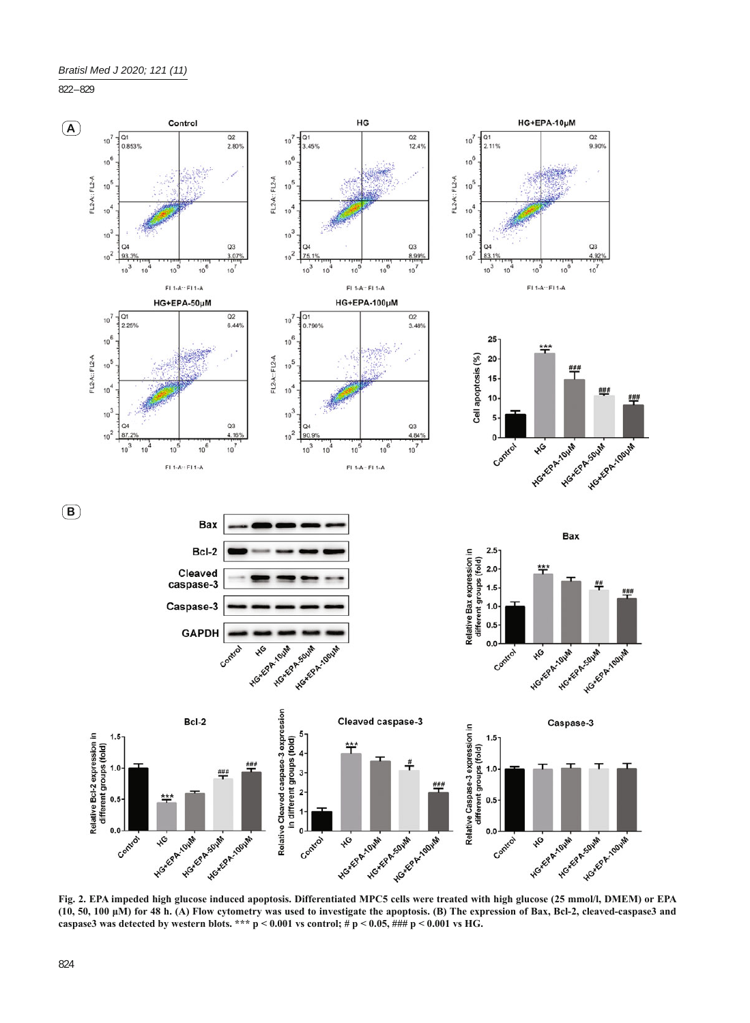822 – 829



**Fig. 2. EPA impeded high glucose induced apoptosis. Differentiated MPC5 cells were treated with high glucose (25 mmol/l, DMEM) or EPA (10, 50, 100 μM) for 48 h. (A) Flow cytometry was used to investigate the apoptosis. (B) The expression of Bax, Bcl-2, cleaved-caspase3 and**  caspase3 was detected by western blots. \*\*\*  $p < 0.001$  vs control; #  $p < 0.05$ , ###  $p < 0.001$  vs HG.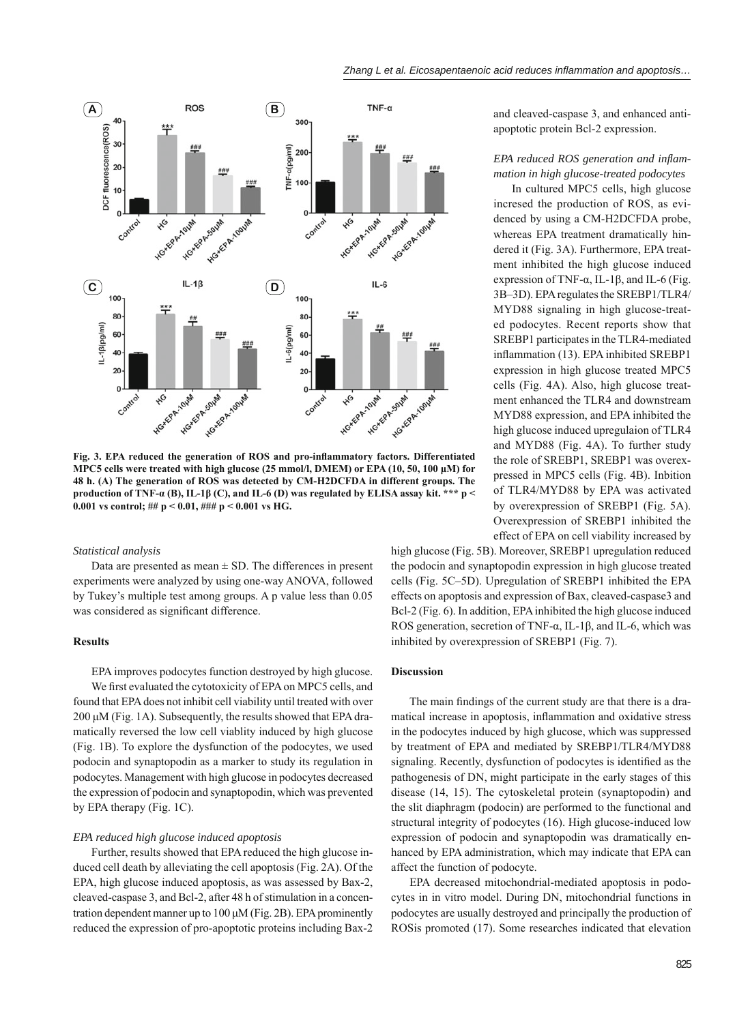

Fig. 3. EPA reduced the generation of ROS and pro-inflammatory factors. Differentiated **MPC5 cells were treated with high glucose (25 mmol/l, DMEM) or EPA (10, 50, 100 μM) for 48 h. (A) The generation of ROS was detected by CM-H2DCFDA in different groups. The production of TNF-α (B), IL-1β (C), and IL-6 (D) was regulated by ELISA assay kit. \*\*\* p < 0.001 vs control; ## p < 0.01, ### p < 0.001 vs HG.**

#### *Statistical analysis*

Data are presented as mean  $\pm$  SD. The differences in present experiments were analyzed by using one-way ANOVA, followed by Tukey's multiple test among groups. A p value less than 0.05 was considered as significant difference.

#### **Results**

EPA improves podocytes function destroyed by high glucose. We first evaluated the cytotoxicity of EPA on MPC5 cells, and found that EPA does not inhibit cell viability until treated with over 200 μM (Fig. 1A). Subsequently, the results showed that EPA dramatically reversed the low cell viablity induced by high glucose (Fig. 1B). To explore the dysfunction of the podocytes, we used podocin and synaptopodin as a marker to study its regulation in podocytes. Management with high glucose in podocytes decreased the expression of podocin and synaptopodin, which was prevented by EPA therapy (Fig. 1C).

#### *EPA reduced high glucose induced apoptosis*

Further, results showed that EPA reduced the high glucose induced cell death by alleviating the cell apoptosis (Fig. 2A). Of the EPA, high glucose induced apoptosis, as was assessed by Bax-2, cleaved-caspase 3, and Bcl-2, after 48 h of stimulation in a concentration dependent manner up to 100 μM (Fig. 2B). EPA prominently reduced the expression of pro-apoptotic proteins including Bax-2

and cleaved-caspase 3, and enhanced antiapoptotic protein Bcl-2 expression.

## EPA reduced ROS generation and inflam*mation in high glucose-treated podocytes*

In cultured MPC5 cells, high glucose incresed the production of ROS, as evidenced by using a CM-H2DCFDA probe, whereas EPA treatment dramatically hindered it (Fig. 3A). Furthermore, EPA treatment inhibited the high glucose induced expression of TNF- $\alpha$ , IL-1 $\beta$ , and IL-6 (Fig. 3B‒3D). EPA regulates the SREBP1/TLR4/ MYD88 signaling in high glucose-treated podocytes. Recent reports show that SREBP1 participates in the TLR4-mediated inflammation (13). EPA inhibited SREBP1 expression in high glucose treated MPC5 cells (Fig. 4A). Also, high glucose treatment enhanced the TLR4 and downstream MYD88 expression, and EPA inhibited the high glucose induced upregulaion of TLR4 and MYD88 (Fig. 4A). To further study the role of SREBP1, SREBP1 was overexpressed in MPC5 cells (Fig. 4B). Inbition of TLR4/MYD88 by EPA was activated by overexpression of SREBP1 (Fig. 5A). Overexpression of SREBP1 inhibited the effect of EPA on cell viability increased by

high glucose (Fig. 5B). Moreover, SREBP1 upregulation reduced the podocin and synaptopodin expression in high glucose treated cells (Fig. 5C-5D). Upregulation of SREBP1 inhibited the EPA effects on apoptosis and expression of Bax, cleaved-caspase3 and Bcl-2 (Fig. 6). In addition, EPA inhibited the high glucose induced ROS generation, secretion of TNF-α, IL-1β, and IL-6, which was inhibited by overexpression of SREBP1 (Fig. 7).

### **Discussion**

The main findings of the current study are that there is a dramatical increase in apoptosis, inflammation and oxidative stress in the podocytes induced by high glucose, which was suppressed by treatment of EPA and mediated by SREBP1/TLR4/MYD88 signaling. Recently, dysfunction of podocytes is identified as the pathogenesis of DN, might participate in the early stages of this disease (14, 15). The cytoskeletal protein (synaptopodin) and the slit diaphragm (podocin) are performed to the functional and structural integrity of podocytes (16). High glucose-induced low expression of podocin and synaptopodin was dramatically enhanced by EPA administration, which may indicate that EPA can affect the function of podocyte.

EPA decreased mitochondrial-mediated apoptosis in podocytes in in vitro model. During DN, mitochondrial functions in podocytes are usually destroyed and principally the production of ROSis promoted (17). Some researches indicated that elevation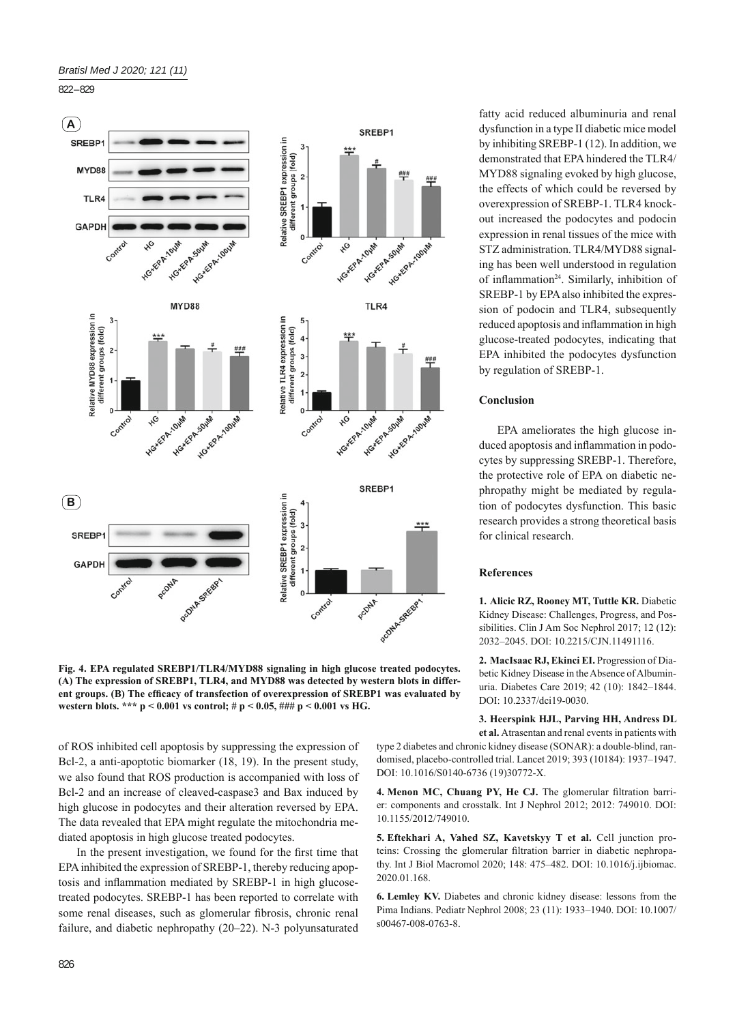822 – 829



**Fig. 4. EPA regulated SREBP1/TLR4/MYD88 signaling in high glucose treated podocytes. (A) The expression of SREBP1, TLR4, and MYD88 was detected by western blots in differ**ent groups. (B) The efficacy of transfection of overexpression of SREBP1 was evaluated by **western blots. \*\*\* p < 0.001 vs control; # p < 0.05, ### p < 0.001 vs HG.**

of ROS inhibited cell apoptosis by suppressing the expression of Bcl-2, a anti-apoptotic biomarker (18, 19). In the present study, we also found that ROS production is accompanied with loss of Bcl-2 and an increase of cleaved-caspase3 and Bax induced by high glucose in podocytes and their alteration reversed by EPA. The data revealed that EPA might regulate the mitochondria mediated apoptosis in high glucose treated podocytes.

In the present investigation, we found for the first time that EPA inhibited the expression of SREBP-1, thereby reducing apoptosis and inflammation mediated by SREBP-1 in high glucosetreated podocytes. SREBP-1 has been reported to correlate with some renal diseases, such as glomerular fibrosis, chronic renal failure, and diabetic nephropathy (20–22). N-3 polyunsaturated fatty acid reduced albuminuria and renal dysfunction in a type II diabetic mice model by inhibiting SREBP-1 (12). In addition, we demonstrated that EPA hindered the TLR4/ MYD88 signaling evoked by high glucose, the effects of which could be reversed by overexpression of SREBP-1. TLR4 knockout increased the podocytes and podocin expression in renal tissues of the mice with STZ administration. TLR4/MYD88 signaling has been well understood in regulation of inflammation<sup>24</sup>. Similarly, inhibition of SREBP-1 by EPA also inhibited the expression of podocin and TLR4, subsequently reduced apoptosis and inflammation in high glucose-treated podocytes, indicating that EPA inhibited the podocytes dysfunction by regulation of SREBP-1.

## **Conclusion**

EPA ameliorates the high glucose induced apoptosis and inflammation in podocytes by suppressing SREBP-1. Therefore, the protective role of EPA on diabetic nephropathy might be mediated by regulation of podocytes dysfunction. This basic research provides a strong theoretical basis for clinical research.

## **References**

**1. Alicic RZ, Rooney MT, Tuttle KR.** Diabetic Kidney Disease: Challenges, Progress, and Possibilities. Clin J Am Soc Nephrol 2017; 12 (12): 2032‒2045. DOI: 10.2215/CJN.11491116.

**2. MacIsaac RJ, Ekinci EI.** Progression of Diabetic Kidney Disease in the Absence of Albuminuria. Diabetes Care 2019; 42 (10): 1842-1844. DOI: 10.2337/dci19-0030.

**3. Heerspink HJL, Parving HH, Andress DL et al.** Atrasentan and renal events in patients with

type 2 diabetes and chronic kidney disease (SONAR): a double-blind, randomised, placebo-controlled trial. Lancet 2019; 393 (10184): 1937-1947. DOI: 10.1016/S0140-6736 (19)30772-X.

4. Menon MC, Chuang PY, He CJ. The glomerular filtration barrier: components and crosstalk. Int J Nephrol 2012; 2012: 749010. DOI: 10.1155/2012/749010.

**5. Eftekhari A, Vahed SZ, Kavetskyy T et al.** Cell junction proteins: Crossing the glomerular filtration barrier in diabetic nephropathy. Int J Biol Macromol 2020; 148: 475-482. DOI: 10.1016/j.ijbiomac. 2020.01.168.

**6. Lemley KV.** Diabetes and chronic kidney disease: lessons from the Pima Indians. Pediatr Nephrol 2008; 23 (11): 1933-1940. DOI: 10.1007/ s00467-008-0763-8.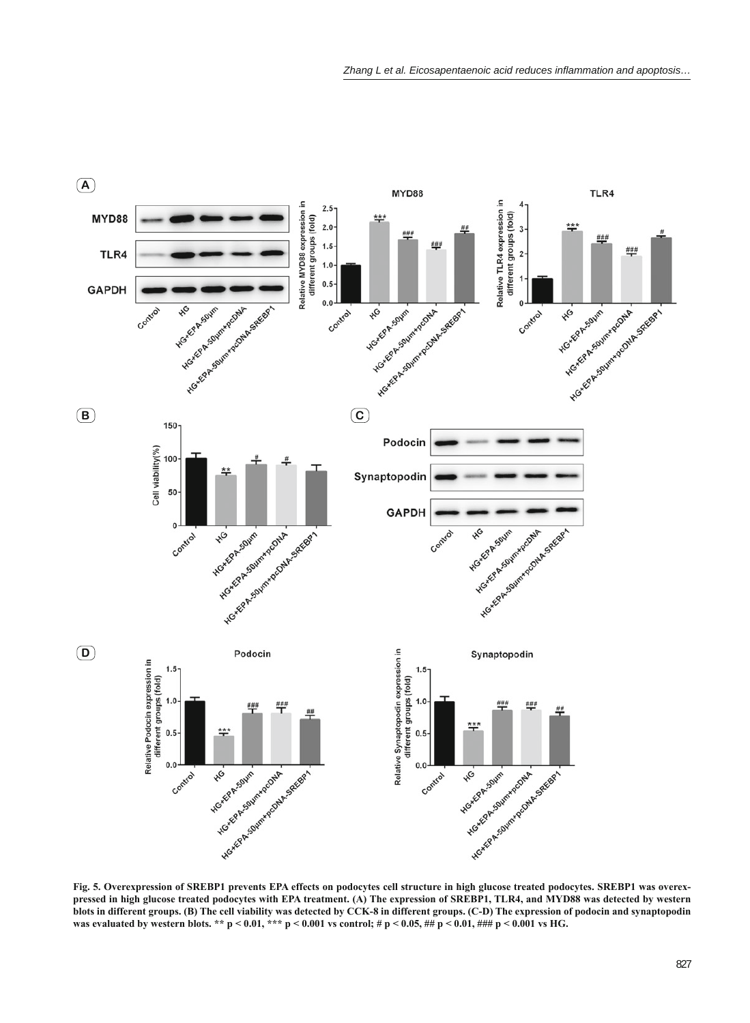

**Fig. 5. Overexpression of SREBP1 prevents EPA effects on podocytes cell structure in high glucose treated podocytes. SREBP1 was overexpressed in high glucose treated podocytes with EPA treatment. (A) The expression of SREBP1, TLR4, and MYD88 was detected by western blots in different groups. (B) The cell viability was detected by CCK-8 in different groups. (C-D) The expression of podocin and synaptopodin was evaluated by western blots. \*\* p < 0.01, \*\*\* p < 0.001 vs control; # p < 0.05, ## p < 0.01, ### p < 0.001 vs HG.**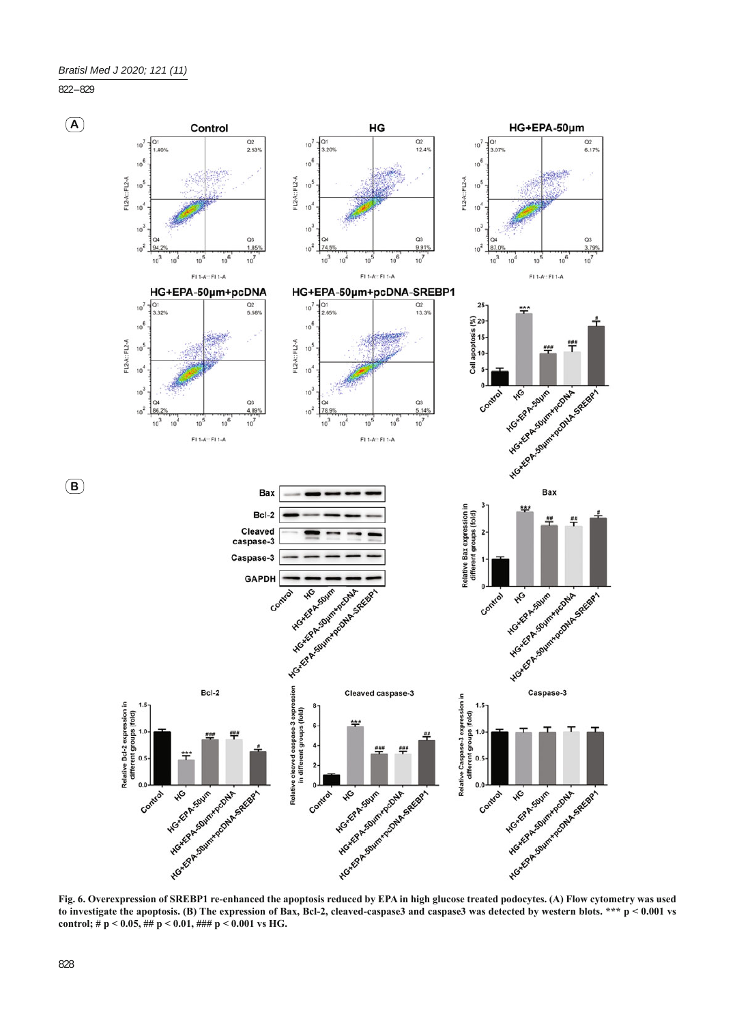822 – 829



**Fig. 6. Overexpression of SREBP1 re-enhanced the apoptosis reduced by EPA in high glucose treated podocytes. (A) Flow cytometry was used to investigate the apoptosis. (B) The expression of Bax, Bcl-2, cleaved-caspase3 and caspase3 was detected by western blots. \*\*\* p < 0.001 vs control; # p < 0.05, ## p < 0.01, ### p < 0.001 vs HG.**